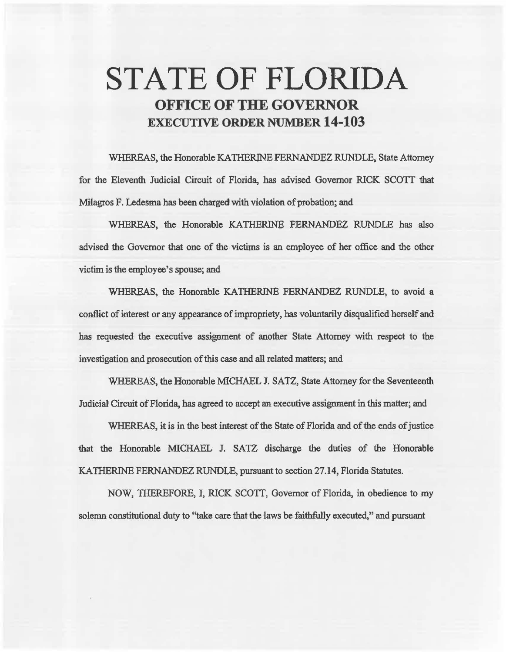# STATE OF FLORIDA OFFICE OF THE GOVERNOR EXECUTIVE ORDER NUMBER 14-103

WHEREAS, the Honorable KA THERINE FERNANDEZ RUNDLE, State Attorney for the Eleventh Judicial Circuit of Florida, has advised Governor RICK SCOTT that Milagros F. Ledesma has been charged with violation of probation; and

WHEREAS, the Honorable KATHERINE FERNANDEZ RUNDLE has also advised the Governor that one of the victims is an employee of her office and the other victim is the employee's spouse; and

WHEREAS, the Honorable KATHERINE FERNANDEZ RUNDLE, to avoid a conflict of interest or any appearance of impropriety, has voluntarily disqualified herself and has requested the executive assignment of another State Attorney with respect to the investigation and prosecution of this case and all related matters; and

WHEREAS, the Honorable MICHAEL J. SATZ, State Attorney for the Seventeenth Judicial Circmt of Florida, has agreed to accept an executive assignment in this matter; and

WHEREAS, it is in the best interest of the State of Florida and of the ends of justice that the Honorable MICHAEL J. SATZ discharge the duties of the Honorable KATHERINE FERNANDEZ RUNDLE, pursuant to section 27.14, Florida Statutes.

NOW, THEREFORE, I, RICK SCOTT, Governor of Florida, in obedience to my solemn constitutional duty to "take care that the laws be faithfully executed," and pursuant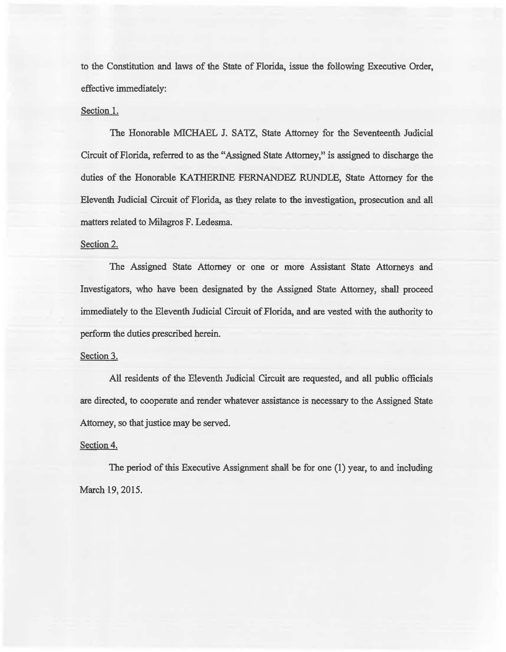to the Constitution and laws of the State of Florida, issue the following Executive Order, effective immediately:

### Section 1.

The Honorable MICHAEL J. SATZ, State Attorney for the Seventeenth Judicial Circuit of Florida, referred to as the "Assigned State Attorney," is assigned to discharge the duties of the Honorable KATHERINE FERNANDEZ RUNDLE, State Attorney for the Eleventh Judicial Circuit of Florida, as they relate to the investigation, prosecution and all matters related to Milagros F. Ledesma.

## Section 2.

The Assigned State Attorney or one or more Assistant State Attorneys and Investigators, who have been designated by the Assigned State Attorney, shall proceed immediately to the Eleventh Judicial Circuit of Florida, and are vested with the authority to perform the duties prescribed herein.

#### Section 3.

All residents of the Eleventh Judicial Circuit are requested, and all public officials are directed, to cooperate and render whatever assistance is necessary to the Assigned State Attorney, so that justice may be served.

#### Section 4.

The period of this Executive Assignment shall be for one (1) year, to and including March 19, 2015.